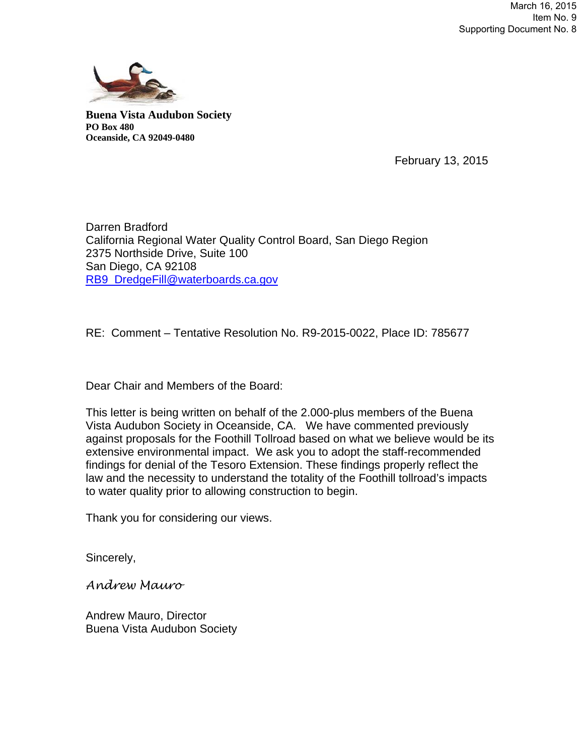

**Buena Vista Audubon Society PO Box 480 Oceanside, CA 92049-0480** 

February 13, 2015

Darren Bradford California Regional Water Quality Control Board, San Diego Region 2375 Northside Drive, Suite 100 San Diego, CA 92108 RB9\_DredgeFill@waterboards.ca.gov

RE: Comment – Tentative Resolution No. R9-2015-0022, Place ID: 785677

Dear Chair and Members of the Board:

This letter is being written on behalf of the 2.000-plus members of the Buena Vista Audubon Society in Oceanside, CA. We have commented previously against proposals for the Foothill Tollroad based on what we believe would be its extensive environmental impact. We ask you to adopt the staff-recommended findings for denial of the Tesoro Extension. These findings properly reflect the law and the necessity to understand the totality of the Foothill tollroad's impacts to water quality prior to allowing construction to begin.

Thank you for considering our views.

Sincerely,

*Andrew Mauro* 

Andrew Mauro, Director Buena Vista Audubon Society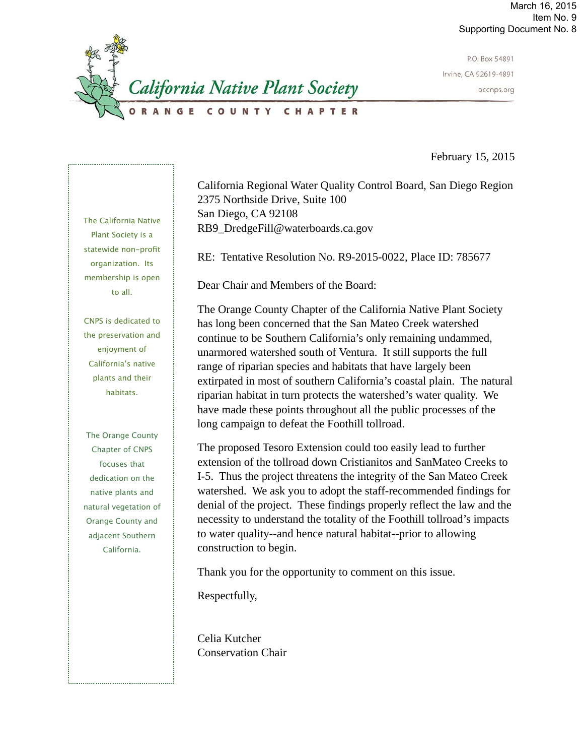

P.O. Box 54891 Irvine, CA 92619-4891 occnps.org

February 15, 2015

California Regional Water Quality Control Board, San Diego Region 2375 Northside Drive, Suite 100 San Diego, CA 92108 RB9\_DredgeFill@waterboards.ca.gov

RE: Tentative Resolution No. R9-2015-0022, Place ID: 785677

Dear Chair and Members of the Board:

The Orange County Chapter of the California Native Plant Society has long been concerned that the San Mateo Creek watershed continue to be Southern California's only remaining undammed, unarmored watershed south of Ventura. It still supports the full range of riparian species and habitats that have largely been extirpated in most of southern California's coastal plain. The natural riparian habitat in turn protects the watershed's water quality. We have made these points throughout all the public processes of the long campaign to defeat the Foothill tollroad.

The proposed Tesoro Extension could too easily lead to further extension of the tollroad down Cristianitos and SanMateo Creeks to I-5. Thus the project threatens the integrity of the San Mateo Creek watershed. We ask you to adopt the staff-recommended findings for denial of the project. These findings properly reflect the law and the necessity to understand the totality of the Foothill tollroad's impacts to water quality--and hence natural habitat--prior to allowing construction to begin.

Thank you for the opportunity to comment on this issue.

Respectfully,

Celia Kutcher Conservation Chair

The California Native Plant Society is a statewide non-profit organization. Its membership is open to all.

CNPS is dedicated to the preservation and enjoyment of California's native plants and their habitats.

The Orange County Chapter of CNPS focuses that dedication on the native plants and natural vegetation of Orange County and adjacent Southern California.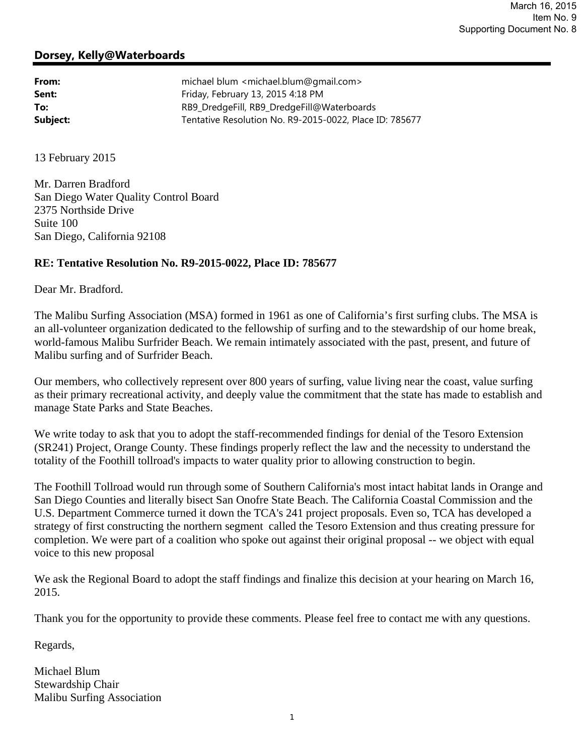### **Dorsey, Kelly@Waterboards**

| From:    | michael blum <michael.blum@gmail.com></michael.blum@gmail.com> |
|----------|----------------------------------------------------------------|
| Sent:    | Friday, February 13, 2015 4:18 PM                              |
| To:      | RB9_DredgeFill, RB9_DredgeFill@Waterboards                     |
| Subject: | Tentative Resolution No. R9-2015-0022, Place ID: 785677        |

13 February 2015

Mr. Darren Bradford San Diego Water Quality Control Board 2375 Northside Drive Suite 100 San Diego, California 92108

#### **RE: Tentative Resolution No. R9-2015-0022, Place ID: 785677**

Dear Mr. Bradford.

The Malibu Surfing Association (MSA) formed in 1961 as one of California's first surfing clubs. The MSA is an all-volunteer organization dedicated to the fellowship of surfing and to the stewardship of our home break, world-famous Malibu Surfrider Beach. We remain intimately associated with the past, present, and future of Malibu surfing and of Surfrider Beach.

Our members, who collectively represent over 800 years of surfing, value living near the coast, value surfing as their primary recreational activity, and deeply value the commitment that the state has made to establish and manage State Parks and State Beaches.

We write today to ask that you to adopt the staff-recommended findings for denial of the Tesoro Extension (SR241) Project, Orange County. These findings properly reflect the law and the necessity to understand the totality of the Foothill tollroad's impacts to water quality prior to allowing construction to begin.

The Foothill Tollroad would run through some of Southern California's most intact habitat lands in Orange and San Diego Counties and literally bisect San Onofre State Beach. The California Coastal Commission and the U.S. Department Commerce turned it down the TCA's 241 project proposals. Even so, TCA has developed a strategy of first constructing the northern segment called the Tesoro Extension and thus creating pressure for completion. We were part of a coalition who spoke out against their original proposal -- we object with equal voice to this new proposal

We ask the Regional Board to adopt the staff findings and finalize this decision at your hearing on March 16, 2015.

Thank you for the opportunity to provide these comments. Please feel free to contact me with any questions.

Regards,

Michael Blum Stewardship Chair Malibu Surfing Association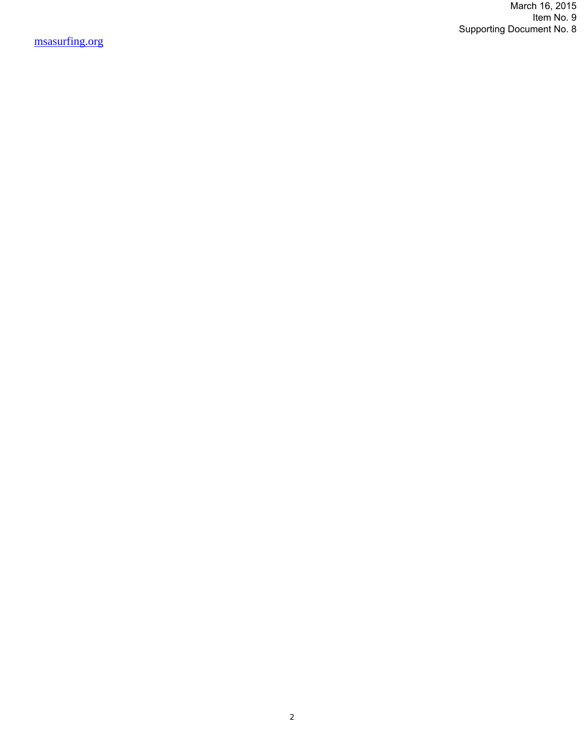March 16, 2015 Item No. 9 Supporting Document No. 8

msasurfing.org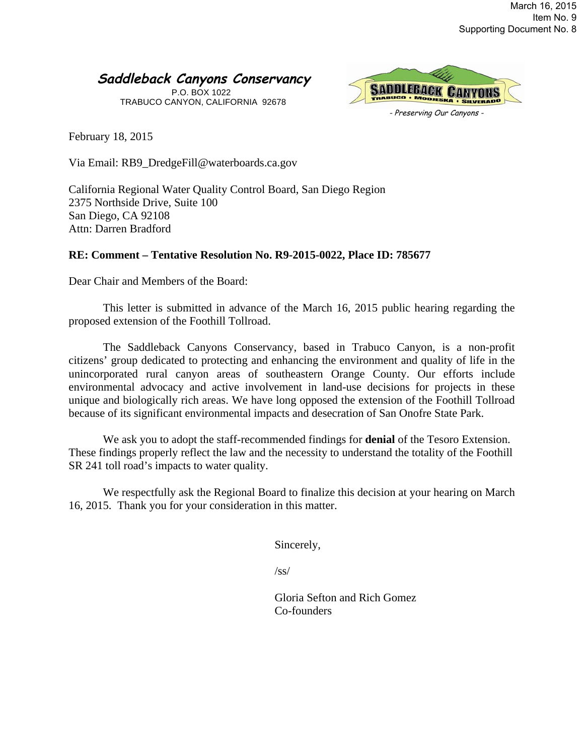# **Saddleback Canyons Conservancy**

P.O. BOX 1022 TRABUCO CANYON, CALIFORNIA 92678



February 18, 2015

Via Email: RB9\_DredgeFill@waterboards.ca.gov

California Regional Water Quality Control Board, San Diego Region 2375 Northside Drive, Suite 100 San Diego, CA 92108 Attn: Darren Bradford

## **RE: Comment – Tentative Resolution No. R9-2015-0022, Place ID: 785677**

Dear Chair and Members of the Board:

This letter is submitted in advance of the March 16, 2015 public hearing regarding the proposed extension of the Foothill Tollroad.

The Saddleback Canyons Conservancy, based in Trabuco Canyon, is a non-profit citizens' group dedicated to protecting and enhancing the environment and quality of life in the unincorporated rural canyon areas of southeastern Orange County. Our efforts include environmental advocacy and active involvement in land-use decisions for projects in these unique and biologically rich areas. We have long opposed the extension of the Foothill Tollroad because of its significant environmental impacts and desecration of San Onofre State Park.

We ask you to adopt the staff-recommended findings for **denial** of the Tesoro Extension. These findings properly reflect the law and the necessity to understand the totality of the Foothill SR 241 toll road's impacts to water quality.

We respectfully ask the Regional Board to finalize this decision at your hearing on March 16, 2015. Thank you for your consideration in this matter.

Sincerely,

 $\sqrt{s}$ s/

Gloria Sefton and Rich Gomez Co-founders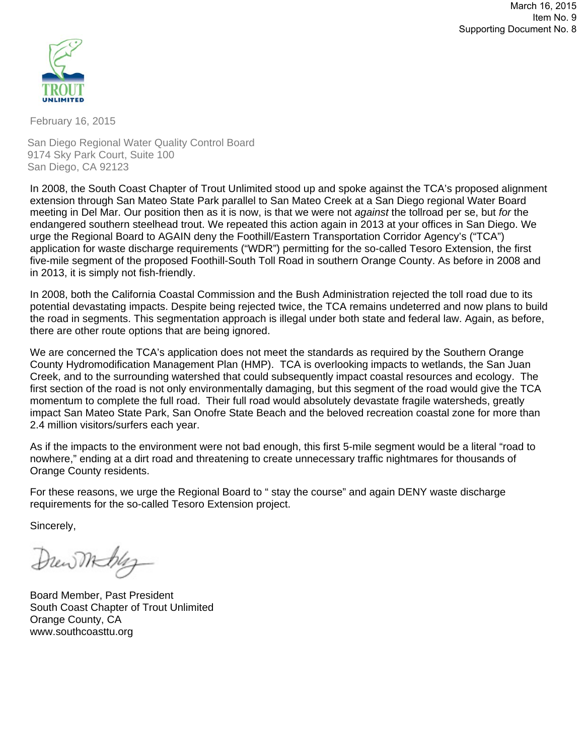March 16, 2015 Item No. 9 Supporting Document No. 8



February 16, 2015

San Diego Regional Water Quality Control Board 9174 Sky Park Court, Suite 100 San Diego, CA 92123

In 2008, the South Coast Chapter of Trout Unlimited stood up and spoke against the TCA's proposed alignment extension through San Mateo State Park parallel to San Mateo Creek at a San Diego regional Water Board meeting in Del Mar. Our position then as it is now, is that we were not *against* the tollroad per se, but *for* the endangered southern steelhead trout. We repeated this action again in 2013 at your offices in San Diego. We urge the Regional Board to AGAIN deny the Foothill/Eastern Transportation Corridor Agency's ("TCA") application for waste discharge requirements ("WDR") permitting for the so-called Tesoro Extension, the first five-mile segment of the proposed Foothill-South Toll Road in southern Orange County. As before in 2008 and in 2013, it is simply not fish-friendly.

In 2008, both the California Coastal Commission and the Bush Administration rejected the toll road due to its potential devastating impacts. Despite being rejected twice, the TCA remains undeterred and now plans to build the road in segments. This segmentation approach is illegal under both state and federal law. Again, as before, there are other route options that are being ignored.

We are concerned the TCA's application does not meet the standards as required by the Southern Orange County Hydromodification Management Plan (HMP). TCA is overlooking impacts to wetlands, the San Juan Creek, and to the surrounding watershed that could subsequently impact coastal resources and ecology. The first section of the road is not only environmentally damaging, but this segment of the road would give the TCA momentum to complete the full road. Their full road would absolutely devastate fragile watersheds, greatly impact San Mateo State Park, San Onofre State Beach and the beloved recreation coastal zone for more than 2.4 million visitors/surfers each year.

As if the impacts to the environment were not bad enough, this first 5-mile segment would be a literal "road to nowhere," ending at a dirt road and threatening to create unnecessary traffic nightmares for thousands of Orange County residents.

For these reasons, we urge the Regional Board to " stay the course" and again DENY waste discharge requirements for the so-called Tesoro Extension project.

Sincerely,

Drewmbley

Board Member, Past President South Coast Chapter of Trout Unlimited Orange County, CA www.southcoasttu.org